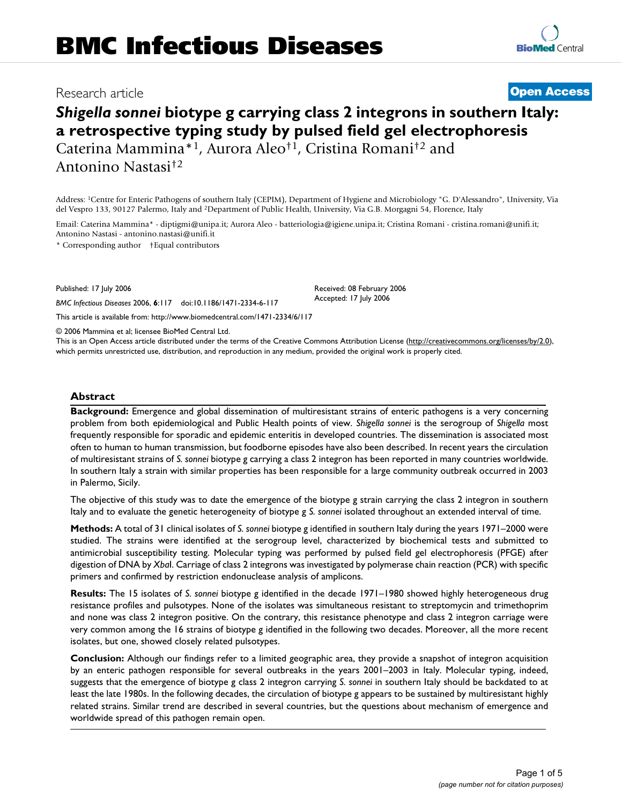# Research article **[Open Access](http://www.biomedcentral.com/info/about/charter/)**

**[BioMed](http://www.biomedcentral.com/)** Central

# *Shigella sonnei* **biotype g carrying class 2 integrons in southern Italy: a retrospective typing study by pulsed field gel electrophoresis** Caterina Mammina\*1, Aurora Aleo†1, Cristina Romani†2 and

Antonino Nastasi†2

Address: 1Centre for Enteric Pathogens of southern Italy (CEPIM), Department of Hygiene and Microbiology "G. D'Alessandro", University, Via del Vespro 133, 90127 Palermo, Italy and 2Department of Public Health, University, Via G.B. Morgagni 54, Florence, Italy

Email: Caterina Mammina\* - diptigmi@unipa.it; Aurora Aleo - batteriologia@igiene.unipa.it; Cristina Romani - cristina.romani@unifi.it; Antonino Nastasi - antonino.nastasi@unifi.it

\* Corresponding author †Equal contributors

Published: 17 July 2006

*BMC Infectious Diseases* 2006, **6**:117 doi:10.1186/1471-2334-6-117

[This article is available from: http://www.biomedcentral.com/1471-2334/6/117](http://www.biomedcentral.com/1471-2334/6/117)

© 2006 Mammina et al; licensee BioMed Central Ltd.

This is an Open Access article distributed under the terms of the Creative Commons Attribution License [\(http://creativecommons.org/licenses/by/2.0\)](http://creativecommons.org/licenses/by/2.0), which permits unrestricted use, distribution, and reproduction in any medium, provided the original work is properly cited.

Received: 08 February 2006 Accepted: 17 July 2006

# **Abstract**

**Background:** Emergence and global dissemination of multiresistant strains of enteric pathogens is a very concerning problem from both epidemiological and Public Health points of view. *Shigella sonnei* is the serogroup of *Shigella* most frequently responsible for sporadic and epidemic enteritis in developed countries. The dissemination is associated most often to human to human transmission, but foodborne episodes have also been described. In recent years the circulation of multiresistant strains of *S. sonnei* biotype g carrying a class 2 integron has been reported in many countries worldwide. In southern Italy a strain with similar properties has been responsible for a large community outbreak occurred in 2003 in Palermo, Sicily.

The objective of this study was to date the emergence of the biotype g strain carrying the class 2 integron in southern Italy and to evaluate the genetic heterogeneity of biotype g *S. sonnei* isolated throughout an extended interval of time.

**Methods:** A total of 31 clinical isolates of *S. sonnei* biotype g identified in southern Italy during the years 1971–2000 were studied. The strains were identified at the serogroup level, characterized by biochemical tests and submitted to antimicrobial susceptibility testing. Molecular typing was performed by pulsed field gel electrophoresis (PFGE) after digestion of DNA by *Xba*I. Carriage of class 2 integrons was investigated by polymerase chain reaction (PCR) with specific primers and confirmed by restriction endonuclease analysis of amplicons.

**Results:** The 15 isolates of *S. sonnei* biotype g identified in the decade 1971–1980 showed highly heterogeneous drug resistance profiles and pulsotypes. None of the isolates was simultaneous resistant to streptomycin and trimethoprim and none was class 2 integron positive. On the contrary, this resistance phenotype and class 2 integron carriage were very common among the 16 strains of biotype g identified in the following two decades. Moreover, all the more recent isolates, but one, showed closely related pulsotypes.

**Conclusion:** Although our findings refer to a limited geographic area, they provide a snapshot of integron acquisition by an enteric pathogen responsible for several outbreaks in the years 2001–2003 in Italy. Molecular typing, indeed, suggests that the emergence of biotype g class 2 integron carrying *S. sonnei* in southern Italy should be backdated to at least the late 1980s. In the following decades, the circulation of biotype g appears to be sustained by multiresistant highly related strains. Similar trend are described in several countries, but the questions about mechanism of emergence and worldwide spread of this pathogen remain open.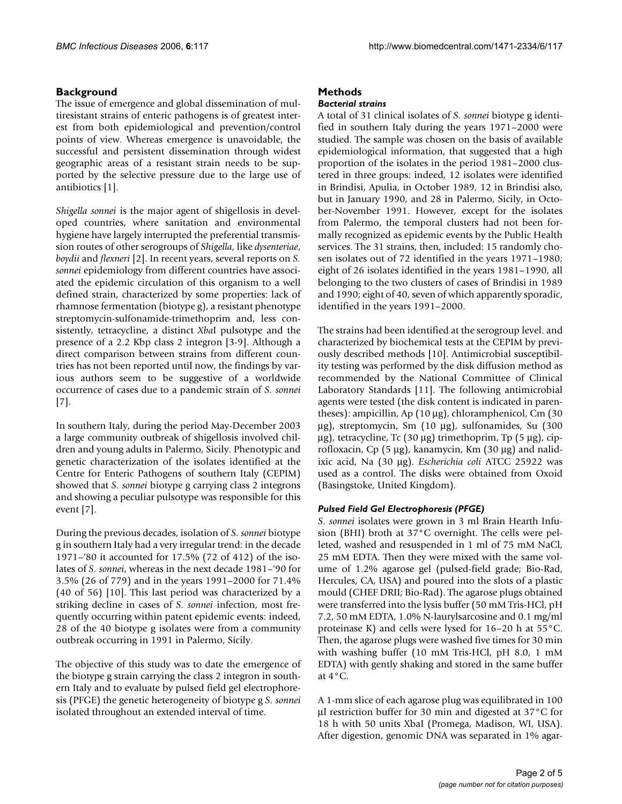### **Background**

The issue of emergence and global dissemination of multiresistant strains of enteric pathogens is of greatest interest from both epidemiological and prevention/control points of view. Whereas emergence is unavoidable, the successful and persistent dissemination through widest geographic areas of a resistant strain needs to be supported by the selective pressure due to the large use of antibiotics [1].

*Shigella sonnei* is the major agent of shigellosis in developed countries, where sanitation and environmental hygiene have largely interrupted the preferential transmission routes of other serogroups of *Shigella*, like *dysenteriae*, *boydii* and *flexneri* [[2](#page-4-0)]. In recent years, several reports on *S. sonnei* epidemiology from different countries have associated the epidemic circulation of this organism to a well defined strain, characterized by some properties: lack of rhamnose fermentation (biotype g), a resistant phenotype streptomycin-sulfonamide-trimethoprim and, less consistently, tetracycline, a distinct *Xba*I pulsotype and the presence of a 2.2 Kbp class 2 integron [3-[9](#page-4-1)]. Although a direct comparison between strains from different countries has not been reported until now, the findings by various authors seem to be suggestive of a worldwide occurrence of cases due to a pandemic strain of *S. sonnei* [7].

In southern Italy, during the period May-December 2003 a large community outbreak of shigellosis involved children and young adults in Palermo, Sicily. Phenotypic and genetic characterization of the isolates identified at the Centre for Enteric Pathogens of southern Italy (CEPIM) showed that *S. sonnei* biotype g carrying class 2 integrons and showing a peculiar pulsotype was responsible for this event [7].

During the previous decades, isolation of *S. sonnei* biotype g in southern Italy had a very irregular trend: in the decade 1971–'80 it accounted for 17.5% (72 of 412) of the isolates of *S. sonnei*, whereas in the next decade 1981–'90 for 3.5% (26 of 779) and in the years 1991–2000 for 71.4% (40 of 56) [10]. This last period was characterized by a striking decline in cases of *S. sonnei* infection, most frequently occurring within patent epidemic events: indeed, 28 of the 40 biotype g isolates were from a community outbreak occurring in 1991 in Palermo, Sicily.

The objective of this study was to date the emergence of the biotype g strain carrying the class 2 integron in southern Italy and to evaluate by pulsed field gel electrophoresis (PFGE) the genetic heterogeneity of biotype g *S. sonnei* isolated throughout an extended interval of time.

# **Methods**

#### *Bacterial strains*

A total of 31 clinical isolates of *S. sonnei* biotype g identified in southern Italy during the years 1971–2000 were studied. The sample was chosen on the basis of available epidemiological information, that suggested that a high proportion of the isolates in the period 1981–2000 clustered in three groups: indeed, 12 isolates were identified in Brindisi, Apulia, in October 1989, 12 in Brindisi also, but in January 1990, and 28 in Palermo, Sicily, in October-November 1991. However, except for the isolates from Palermo, the temporal clusters had not been formally recognized as epidemic events by the Public Health services. The 31 strains, then, included: 15 randomly chosen isolates out of 72 identified in the years 1971–1980; eight of 26 isolates identified in the years 1981–1990, all belonging to the two clusters of cases of Brindisi in 1989 and 1990; eight of 40, seven of which apparently sporadic, identified in the years 1991–2000.

The strains had been identified at the serogroup level. and characterized by biochemical tests at the CEPIM by previously described methods [10]. Antimicrobial susceptibility testing was performed by the disk diffusion method as recommended by the National Committee of Clinical Laboratory Standards [11]. The following antimicrobial agents were tested (the disk content is indicated in parentheses): ampicillin, Ap (10 μg), chloramphenicol, Cm (30 μg), streptomycin, Sm (10 μg), sulfonamides, Su (300 μg), tetracycline, Tc (30 μg) trimethoprim, Tp (5 μg), ciprofloxacin, Cp (5 μg), kanamycin, Km (30 μg) and nalidixic acid, Na (30 μg). *Escherichia coli* ATCC 25922 was used as a control. The disks were obtained from Oxoid (Basingstoke, United Kingdom).

#### *Pulsed Field Gel Electrophoresis (PFGE)*

*S. sonnei* isolates were grown in 3 ml Brain Hearth Infusion (BHI) broth at 37°C overnight. The cells were pelleted, washed and resuspended in 1 ml of 75 mM NaCl, 25 mM EDTA. Then they were mixed with the same volume of 1.2% agarose gel (pulsed-field grade; Bio-Rad, Hercules, CA, USA) and poured into the slots of a plastic mould (CHEF DRII; Bio-Rad). The agarose plugs obtained were transferred into the lysis buffer (50 mM Tris-HCl, pH 7.2, 50 mM EDTA, 1.0% N-laurylsarcosine and 0.1 mg/ml proteinase K) and cells were lysed for 16–20 h at 55°C. Then, the agarose plugs were washed five times for 30 min with washing buffer (10 mM Tris-HCl, pH 8.0, 1 mM EDTA) with gently shaking and stored in the same buffer at  $4^{\circ}$ C.

A 1-mm slice of each agarose plug was equilibrated in 100 μl restriction buffer for 30 min and digested at 37°C for 18 h with 50 units XbaI (Promega, Madison, WI, USA). After digestion, genomic DNA was separated in 1% agar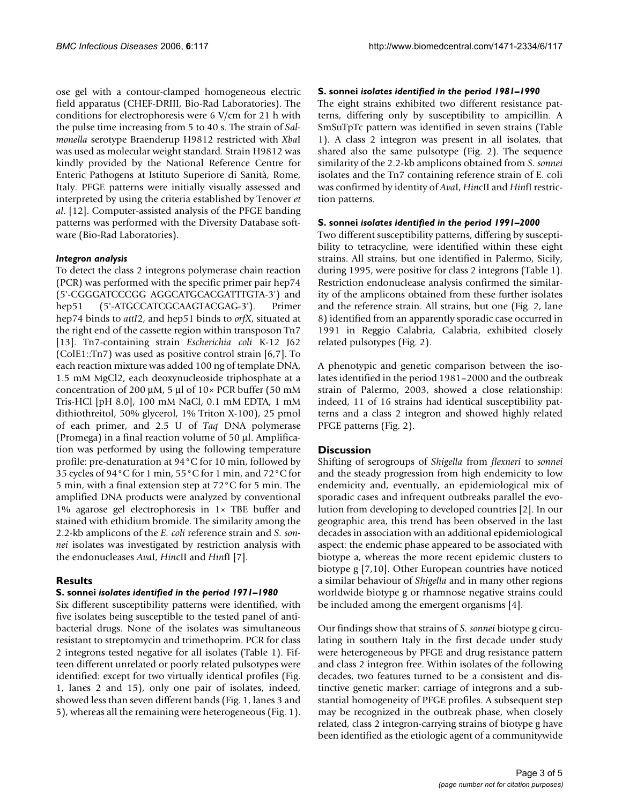ose gel with a contour-clamped homogeneous electric field apparatus (CHEF-DRIII, Bio-Rad Laboratories). The conditions for electrophoresis were 6 V/cm for 21 h with the pulse time increasing from 5 to 40 s. The strain of *Salmonella* serotype Braenderup H9812 restricted with *Xba*I was used as molecular weight standard. Strain H9812 was kindly provided by the National Reference Centre for Enteric Pathogens at Istituto Superiore di Sanità, Rome, Italy. PFGE patterns were initially visually assessed and interpreted by using the criteria established by Tenover *et al*. [12]. Computer-assisted analysis of the PFGE banding patterns was performed with the Diversity Database software (Bio-Rad Laboratories).

#### *Integron analysis*

To detect the class 2 integrons polymerase chain reaction (PCR) was performed with the specific primer pair hep74 (5'-CGGGATCCCGG AGGCATGCACGATTTGTA-3') and hep51 (5'-ATGCCATCGCAAGTACGAG-3'). Primer hep74 binds to *attI*2, and hep51 binds to *orfX*, situated at the right end of the cassette region within transposon Tn7 [13]. Tn7-containing strain *Escherichia coli* K-12 J62 (ColE1::Tn7) was used as positive control strain [6,7]. To each reaction mixture was added 100 ng of template DNA, 1.5 mM MgCl2, each deoxynucleoside triphosphate at a concentration of 200 μM, 5 μl of 10× PCR buffer (50 mM Tris-HCl [pH 8.0], 100 mM NaCl, 0.1 mM EDTA, 1 mM dithiothreitol, 50% glycerol, 1% Triton X-100), 25 pmol of each primer, and 2.5 U of *Taq* DNA polymerase (Promega) in a final reaction volume of 50 μl. Amplification was performed by using the following temperature profile: pre-denaturation at 94°C for 10 min, followed by 35 cycles of 94°C for 1 min, 55°C for 1 min, and 72°C for 5 min, with a final extension step at 72°C for 5 min. The amplified DNA products were analyzed by conventional 1% agarose gel electrophoresis in 1× TBE buffer and stained with ethidium bromide. The similarity among the 2.2-kb amplicons of the *E. coli* reference strain and *S. sonnei* isolates was investigated by restriction analysis with the endonucleases *Ava*I, *Hin*cII and *Hin*fI [7].

#### **Results**

## **S. sonnei** *isolates identified in the period 1971–1980*

Six different susceptibility patterns were identified, with five isolates being susceptible to the tested panel of antibacterial drugs. None of the isolates was simultaneous resistant to streptomycin and trimethoprim. PCR for class 2 integrons tested negative for all isolates (Table 1). Fifteen different unrelated or poorly related pulsotypes were identified: except for two virtually identical profiles (Fig. 1, lanes 2 and 15), only one pair of isolates, indeed, showed less than seven different bands (Fig. 1, lanes 3 and 5), whereas all the remaining were heterogeneous (Fig. 1).

#### **S. sonnei** *isolates identified in the period 1981–1990*

The eight strains exhibited two different resistance patterns, differing only by susceptibility to ampicillin. A SmSuTpTc pattern was identified in seven strains (Table 1). A class 2 integron was present in all isolates, that shared also the same pulsotype (Fig. 2). The sequence similarity of the 2.2-kb amplicons obtained from *S. sonnei* isolates and the Tn7 containing reference strain of E. coli was confirmed by identity of *Ava*I, *Hin*cII and *Hin*fI restriction patterns.

#### **S. sonnei** *isolates identified in the period 1991–2000*

Two different susceptibility patterns, differing by susceptibility to tetracycline, were identified within these eight strains. All strains, but one identified in Palermo, Sicily, during 1995, were positive for class 2 integrons (Table 1). Restriction endonuclease analysis confirmed the similarity of the amplicons obtained from these further isolates and the reference strain. All strains, but one (Fig. 2, lane 8) identified from an apparently sporadic case occurred in 1991 in Reggio Calabria, Calabria, exhibited closely related pulsotypes (Fig. 2).

A phenotypic and genetic comparison between the isolates identified in the period 1981–2000 and the outbreak strain of Palermo, 2003, showed a close relationship: indeed, 11 of 16 strains had identical susceptibility patterns and a class 2 integron and showed highly related PFGE patterns (Fig. 2).

#### **Discussion**

Shifting of serogroups of *Shigella* from *flexneri* to *sonnei* and the steady progression from high endemicity to low endemicity and, eventually, an epidemiological mix of sporadic cases and infrequent outbreaks parallel the evolution from developing to developed countries [\[2\]](#page-4-0). In our geographic area, this trend has been observed in the last decades in association with an additional epidemiological aspect: the endemic phase appeared to be associated with biotype a, whereas the more recent epidemic clusters to biotype g [7,10]. Other European countries have noticed a similar behaviour of *Shigella* and in many other regions worldwide biotype g or rhamnose negative strains could be included among the emergent organisms [4].

Our findings show that strains of *S. sonnei* biotype g circulating in southern Italy in the first decade under study were heterogeneous by PFGE and drug resistance pattern and class 2 integron free. Within isolates of the following decades, two features turned to be a consistent and distinctive genetic marker: carriage of integrons and a substantial homogeneity of PFGE profiles. A subsequent step may be recognized in the outbreak phase, when closely related, class 2 integron-carrying strains of biotype g have been identified as the etiologic agent of a communitywide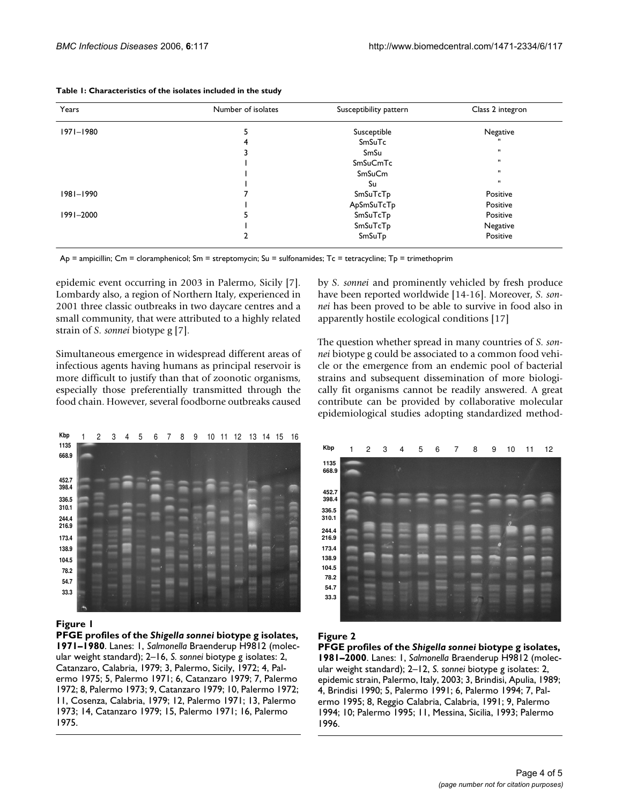| Years         | Number of isolates | Susceptibility pattern | Class 2 integron |
|---------------|--------------------|------------------------|------------------|
| 1971-1980     |                    | Susceptible            | Negative         |
|               | 4                  | SmSuTc                 | $\mathbf{u}$     |
|               |                    | SmSu                   | $\mathbf{H}$     |
|               |                    | SmSuCmTc               | $\mathbf{H}$     |
|               |                    | <b>SmSuCm</b>          | $\mathbf{H}$     |
|               |                    | Su                     | $\mathbf{H}$     |
| $1981 - 1990$ |                    | SmSuTcTp               | Positive         |
|               |                    | ApSmSuTcTp             | Positive         |
| 1991-2000     |                    | SmSuTcTp               | Positive         |
|               |                    | SmSuTcTp               | Negative         |
|               |                    | SmSuTp                 | Positive         |

|  |  | Table 1: Characteristics of the isolates included in the study |  |  |  |
|--|--|----------------------------------------------------------------|--|--|--|
|--|--|----------------------------------------------------------------|--|--|--|

Ap = ampicillin; Cm = cloramphenicol; Sm = streptomycin; Su = sulfonamides; Tc = tetracycline; Tp = trimethoprim

epidemic event occurring in 2003 in Palermo, Sicily [7]. Lombardy also, a region of Northern Italy, experienced in 2001 three classic outbreaks in two daycare centres and a small community, that were attributed to a highly related strain of *S. sonnei* biotype g [7].

Simultaneous emergence in widespread different areas of infectious agents having humans as principal reservoir is more difficult to justify than that of zoonotic organisms, especially those preferentially transmitted through the food chain. However, several foodborne outbreaks caused



#### **Figure 1**

**PFGE profiles of the** *Shigella sonnei* **biotype g isolates, 1971–1980**. Lanes: 1, *Salmonella* Braenderup H9812 (molecular weight standard); 2–16, *S. sonnei* biotype g isolates: 2, Catanzaro, Calabria, 1979; 3, Palermo, Sicily, 1972; 4, Palermo 1975; 5, Palermo 1971; 6, Catanzaro 1979; 7, Palermo 1972; 8, Palermo 1973; 9, Catanzaro 1979; 10, Palermo 1972; 11, Cosenza, Calabria, 1979; 12, Palermo 1971; 13, Palermo 1973; 14, Catanzaro 1979; 15, Palermo 1971; 16, Palermo 1975.

by *S. sonnei* and prominently vehicled by fresh produce have been reported worldwide [14-16]. Moreover, *S. sonnei* has been proved to be able to survive in food also in apparently hostile ecological conditions [17]

The question whether spread in many countries of *S. sonnei* biotype g could be associated to a common food vehicle or the emergence from an endemic pool of bacterial strains and subsequent dissemination of more biologically fit organisms cannot be readily answered. A great contribute can be provided by collaborative molecular epidemiological studies adopting standardized method-



# **Figure 2**

**PFGE profiles of the** *Shigella sonnei* **biotype g isolates, 1981–2000**. Lanes: 1, *Salmonella* Braenderup H9812 (molecular weight standard); 2–12, *S. sonnei* biotype g isolates: 2, epidemic strain, Palermo, Italy, 2003; 3, Brindisi, Apulia, 1989; 4, Brindisi 1990; 5, Palermo 1991; 6, Palermo 1994; 7, Palermo 1995; 8, Reggio Calabria, Calabria, 1991; 9, Palermo 1994; 10; Palermo 1995; 11, Messina, Sicilia, 1993; Palermo 1996.